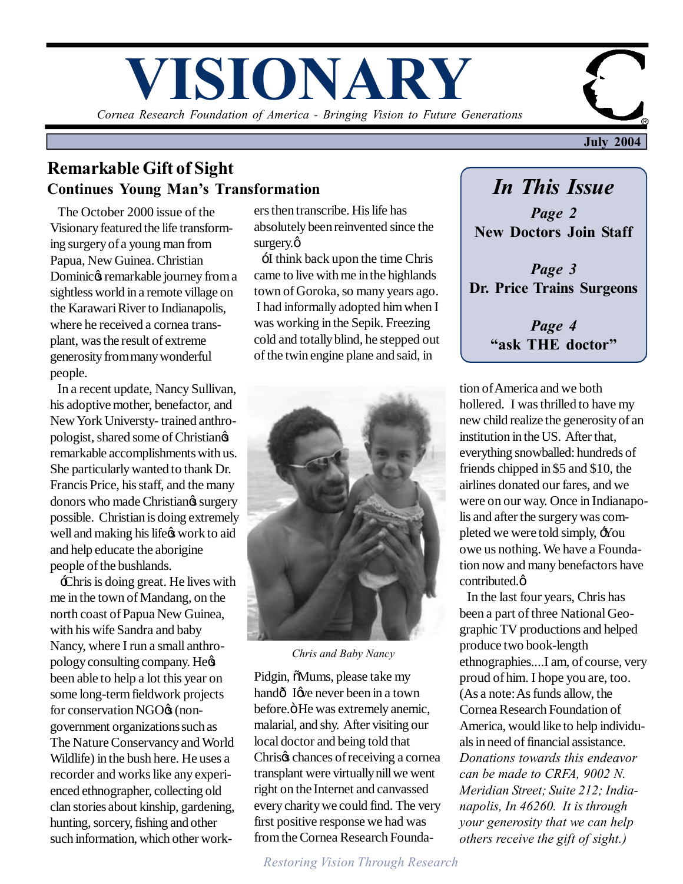# *Cornea Research Foundation of America - Bringing Vision to Future Generations* **VISIONARY**

# **Remarkable Gift of Sight Continues Young Man's Transformation**

 The October 2000 issue of the Visionary featured the life transforming surgery of a young man from Papua, New Guinea. Christian Dominic & remarkable journey from a sightless world in a remote village on the Karawari River to Indianapolis, where he received a cornea transplant, was the result of extreme generosity from many wonderful people.

 In a recent update, Nancy Sullivan, his adoptive mother, benefactor, and New York Universty- trained anthropologist, shared some of Christian remarkable accomplishments with us. She particularly wanted to thank Dr. Francis Price, his staff, and the many donors who made Christian $\otimes$  surgery possible. Christian is doing extremely well and making his life work to aid and help educate the aborigine people of the bushlands.

 'Chris is doing great. He lives with me in the town of Mandang, on the north coast of Papua New Guinea, with his wife Sandra and baby Nancy, where I run a small anthropology consulting company. Hegs been able to help a lot this year on some long-term fieldwork projects for conservation NGO $\alpha$  (nongovernment organizations such as The Nature Conservancy and World Wildlife) in the bush here. He uses a recorder and works like any experienced ethnographer, collecting old clan stories about kinship, gardening, hunting, sorcery, fishing and other such information, which other workers then transcribe. His life has absolutely been reinvented since the surgery. $\varphi$ 

 $\div I$  think back upon the time Chris came to live with me in the highlands town of Goroka, so many years ago. I had informally adopted him when I was working in the Sepik. Freezing cold and totally blind, he stepped out of the twin engine plane and said, in



*Chris and Baby Nancy*

Pidgin,  $\delta$ Mums, please take my handô I gwe never been in a town before.  $\ddot{\text{o}}$  He was extremely anemic, malarial, and shy. After visiting our local doctor and being told that Christ chances of receiving a cornea transplant were virtually nill we went right on the Internet and canvassed every charity we could find. The very first positive response we had was from the Cornea Research Founda-

*Restoring Vision Through Research*



*Page 2* **New Doctors Join Staff**

*Page 3* **Dr. Price Trains Surgeons**

> *Page 4* **"ask THE doctor"**

tion of America and we both hollered. I was thrilled to have my new child realize the generosity of an institution in the US. After that, everything snowballed: hundreds of friends chipped in \$5 and \$10, the airlines donated our fares, and we were on our way. Once in Indianapolis and after the surgery was completed we were told simply, 'You owe us nothing. We have a Foundation now and many benefactors have contributed. $\varphi$ 

 In the last four years, Chris has been a part of three National Geographic TV productions and helped produce two book-length ethnographies....I am, of course, very proud of him. I hope you are, too. (As a note: As funds allow, the Cornea Research Foundation of America, would like to help individuals in need of financial assistance. *Donations towards this endeavor can be made to CRFA, 9002 N. Meridian Street; Suite 212; Indianapolis, In 46260. It is through your generosity that we can help others receive the gift of sight.)*

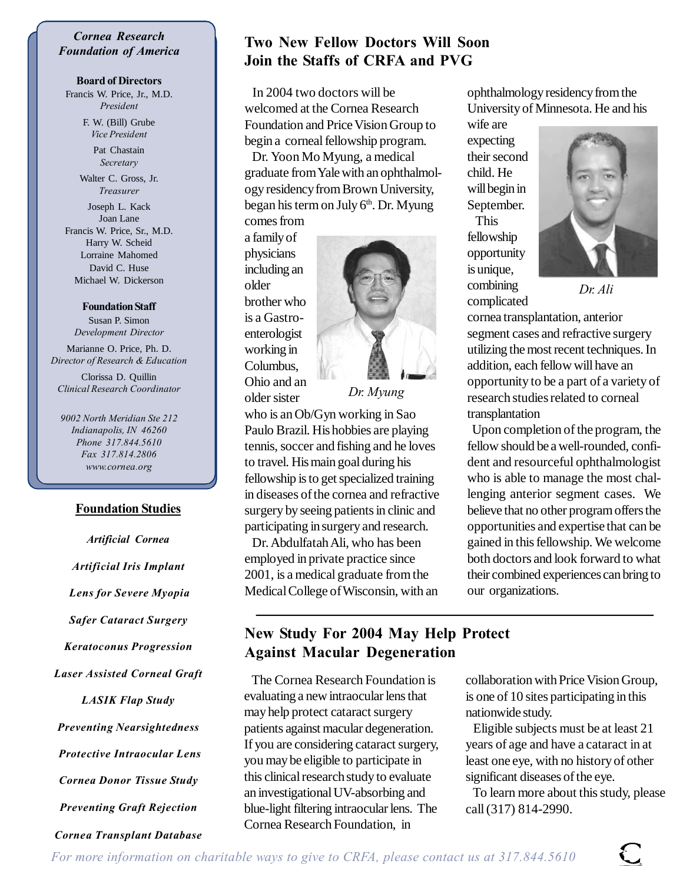#### *Cornea Research Foundation of America*

### **Board of Directors**

Francis W. Price, Jr., M.D. *President*

> F. W. (Bill) Grube *Vice President*

> > Pat Chastain *Secretary*

Walter C. Gross, Jr. *Treasurer*

Joseph L. Kack Joan Lane Francis W. Price, Sr., M.D. Harry W. Scheid Lorraine Mahomed David C. Huse Michael W. Dickerson

#### **Foundation Staff**

Susan P. Simon *Development Director*

Marianne O. Price, Ph. D. *Director of Research & Education*

Clorissa D. Quillin *Clinical Research Coordinator*

*9002 North Meridian Ste 212 Indianapolis, IN 46260 Phone 317.844.5610 Fax 317.814.2806 www.cornea.org*

#### **Foundation Studies**

*Artificial Cornea*

*Artificial Iris Implant Lens for Severe Myopia Safer Cataract Surgery Keratoconus Progression Laser Assisted Corneal Graft LASIK Flap Study Preventing Nearsightedness Protective Intraocular Lens Cornea Donor Tissue Study Preventing Graft Rejection Cornea Transplant Database*

## **Two New Fellow Doctors Will Soon Join the Staffs of CRFA and PVG**

 In 2004 two doctors will be welcomed at the Cornea Research Foundation and Price Vision Group to begin a corneal fellowship program.

 Dr. Yoon Mo Myung, a medical graduate from Yale with an ophthalmology residency from Brown University, began his term on July 6<sup>th</sup>. Dr. Myung

comes from a family of physicians including an older brother who is a Gastroenterologist working in Columbus, Ohio and an older sister



*Dr. Myung*

who is an Ob/Gyn working in Sao Paulo Brazil. His hobbies are playing tennis, soccer and fishing and he loves to travel. His main goal during his fellowship is to get specialized training in diseases of the cornea and refractive surgery by seeing patients in clinic and participating in surgery and research.

 Dr. Abdulfatah Ali, who has been employed in private practice since 2001, is a medical graduate from the Medical College of Wisconsin, with an ophthalmology residency from the University of Minnesota. He and his

wife are expecting their second child. He will begin in September.

 This fellowship opportunity is unique, combining complicated



*Dr. Ali*

cornea transplantation, anterior segment cases and refractive surgery utilizing the most recent techniques. In addition, each fellow will have an opportunity to be a part of a variety of research studies related to corneal transplantation

 Upon completion of the program, the fellow should be a well-rounded, confident and resourceful ophthalmologist who is able to manage the most challenging anterior segment cases. We believe that no other program offers the opportunities and expertise that can be gained in this fellowship. We welcome both doctors and look forward to what their combined experiences can bring to our organizations.

## **New Study For 2004 May Help Protect Against Macular Degeneration**

 The Cornea Research Foundation is evaluating a new intraocular lens that may help protect cataract surgery patients against macular degeneration. If you are considering cataract surgery, you may be eligible to participate in this clinical research study to evaluate an investigational UV-absorbing and blue-light filtering intraocular lens. The Cornea Research Foundation, in

collaboration with Price Vision Group, is one of 10 sites participating in this nationwide study.

 Eligible subjects must be at least 21 years of age and have a cataract in at least one eye, with no history of other significant diseases of the eye.

 To learn more about this study, please call (317) 814-2990.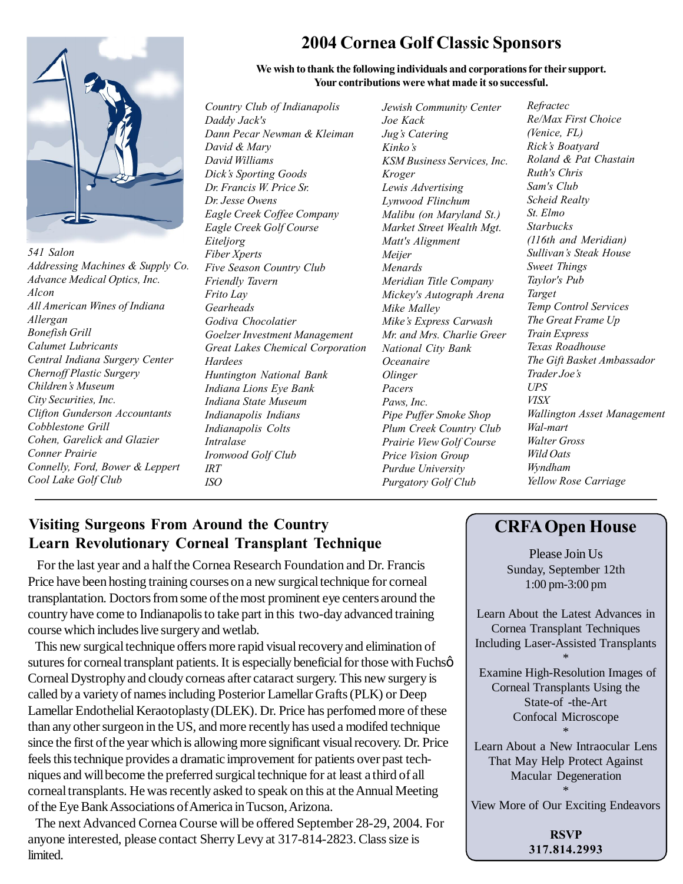

*541 Salon Addressing Machines & Supply Co. Advance Medical Optics, Inc. Alcon All American Wines of Indiana Allergan Bonefish Grill Calumet Lubricants Central Indiana Surgery Center Chernoff Plastic Surgery Children's Museum City Securities, Inc. Clifton Gunderson Accountants Cobblestone Grill Cohen, Garelick and Glazier Conner Prairie Connelly, Ford, Bower & Leppert Cool Lake Golf Club*

## *Country Club of Indianapolis Daddy Jack's Dann Pecar Newman & Kleiman David & Mary David Williams Joe Kack Jug's Catering Kinko's*

*Dick's Sporting Goods Dr. Francis W. Price Sr. Dr. Jesse Owens Eagle Creek Coffee Company Eagle Creek Golf Course Eiteljorg Fiber Xperts Five Season Country Club Friendly Tavern Frito Lay Gearheads Godiva Chocolatier Goelzer Investment Management Great Lakes Chemical Corporation Hardees Huntington National Bank Indiana Lions Eye Bank Indiana State Museum Indianapolis Indians Indianapolis Colts Intralase Ironwood Golf Club IRT ISO*

*Jewish Community Center KSM Business Services, Inc. Kroger Lewis Advertising Lynwood Flinchum Malibu (on Maryland St.) Market Street Wealth Mgt. Matt's Alignment Meijer Menards Meridian Title Company Mickey's Autograph Arena Mike Malley Mike's Express Carwash Mr. and Mrs. Charlie Greer National City Bank Oceanaire Olinger Pacers Paws, Inc. Pipe Puffer Smoke Shop Plum Creek Country Club Prairie View Golf Course Price Vision Group Purdue University Purgatory Golf Club*

*Refractec Re/Max First Choice (Venice, FL) Rick's Boatyard Roland & Pat Chastain Ruth's Chris Sam's Club Scheid Realty St. Elmo Starbucks (116th and Meridian) Sullivan's Steak House Sweet Things Taylor's Pub Target Temp Control Services The Great Frame Up Train Express Texas Roadhouse The Gift Basket Ambassador Trader Joe's UPS VISX Wallington Asset Management Wal-mart Walter Gross Wild Oats Wyndham Yellow Rose Carriage*

## **Visiting Surgeons From Around the Country Learn Revolutionary Corneal Transplant Technique**

 For the last year and a half the Cornea Research Foundation and Dr. Francis Price have been hosting training courses on a new surgical technique for corneal transplantation. Doctors from some of the most prominent eye centers around the country have come to Indianapolis to take part in this two-day advanced training course which includes live surgery and wetlab.

 This new surgical technique offers more rapid visual recovery and elimination of sutures for corneal transplant patients. It is especially beneficial for those with Fuchs $\varphi$ Corneal Dystrophy and cloudy corneas after cataract surgery. This new surgery is called by a variety of names including Posterior Lamellar Grafts (PLK) or Deep Lamellar Endothelial Keraotoplasty (DLEK). Dr. Price has perfomed more of these than any other surgeon in the US, and more recently has used a modifed technique since the first of the year which is allowing more significant visual recovery. Dr. Price feels this technique provides a dramatic improvement for patients over past techniques and will become the preferred surgical technique for at least a third of all corneal transplants. He was recently asked to speak on this at the Annual Meeting of the Eye Bank Associations of America in Tucson, Arizona.

 The next Advanced Cornea Course will be offered September 28-29, 2004. For anyone interested, please contact Sherry Levy at 317-814-2823. Class size is limited.

# **CRFA Open House**

Please Join Us Sunday, September 12th 1:00 pm-3:00 pm

Learn About the Latest Advances in Cornea Transplant Techniques Including Laser-Assisted Transplants \*

 Examine High-Resolution Images of Corneal Transplants Using the State-of -the-Art Confocal Microscope \*

Learn About a New Intraocular Lens That May Help Protect Against Macular Degeneration \*

View More of Our Exciting Endeavors

**RSVP 317.814.2993**

# **2004 Cornea Golf Classic Sponsors**

**We wish to thank the following individuals and corporations for their support. Your contributions were what made it so successful.**